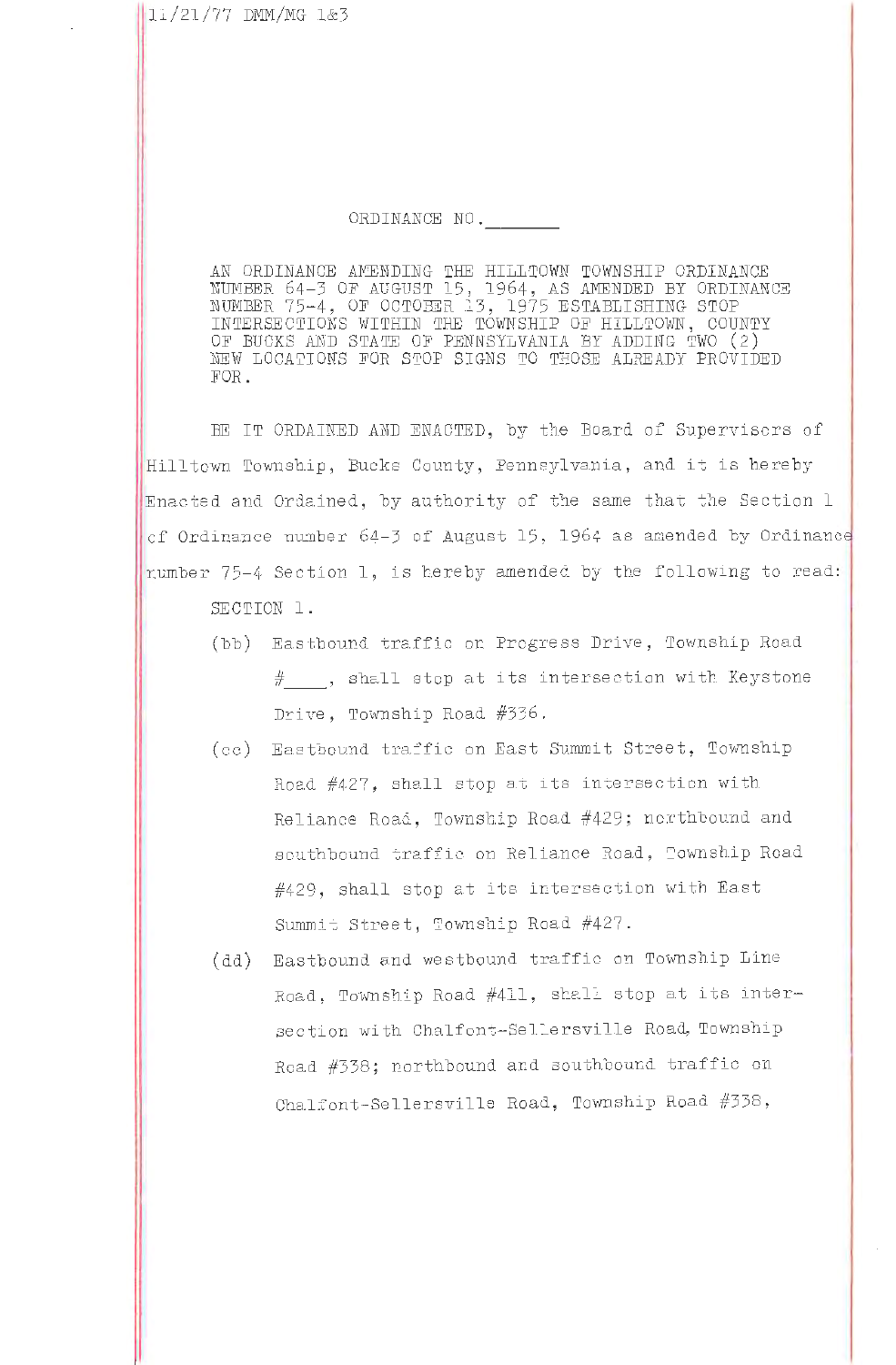## ORDINANCE NO.

AN ORDINANCE AMENDING THE HILLTOWN TOWNSHIP CRDINANCE NUMBER 64-3 OF AUGUST 15, 1964, AS AMENDED BY ORDINANCE<br>NUMBER 75-4, OF OCTOBER 13, 1975 ESTABLISHING STOP INTERSECTIONS WITHIN THE TOWNSHIP OF HILLTOWN, COUNTY OF BUCKS AND STATE OF PENNSYLVANIA BY ADDING TWO (2) NEW LOCATIONS FOR STOP SIGNS TO THOSE ALREADY PROVIDED FOR.

BE IT ORDAINED AND ENACTED, by the Board of Supervisers of Hilltown Township, Bucks County, Pennsylvania, and it is hereby Enacted and Ordained, by authority of the same that the Section 1 of Ordinance number 64-3 of August 15, 1964 as amended by Ordinance number 75-4 Section 1, is hereby amended by the following to read: SECTION 1.

- (bb) Eastbound traffic on Progress Drive, Township Road #\_\_\_, shall step at its intersection with Keystone Drive, Township Road #336.
- (cc) Eastbound traffic on East Summit Street, Township Road #427, shall stop at its intersection with Reliance Road, Township Road #429; northbound and southbound traffic on Reliance Road, Township Road  $#429$ , shall stop at its intersection with East Summit Street, Township Road #427.
- Eastbound and westbound traffic on Township Line  $(dd)$ Road, Township Road #411, shall stop at its intersection with Chalfont-Sellersville Road, Township Read #338; nerthbound and southbound traffic on Chalfont-Sellersville Road, Township Road #338,